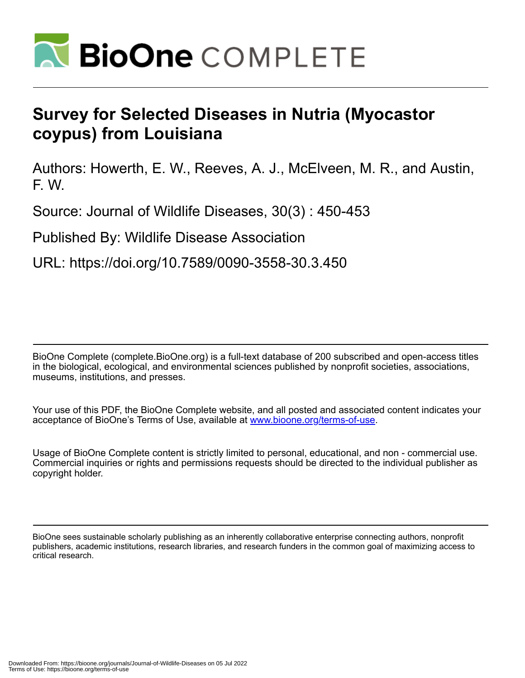

## **Survey for Selected Diseases in Nutria (Myocastor coypus) from Louisiana**

Authors: Howerth, E. W., Reeves, A. J., McElveen, M. R., and Austin, F. W.

Source: Journal of Wildlife Diseases, 30(3) : 450-453

Published By: Wildlife Disease Association

URL: https://doi.org/10.7589/0090-3558-30.3.450

BioOne Complete (complete.BioOne.org) is a full-text database of 200 subscribed and open-access titles in the biological, ecological, and environmental sciences published by nonprofit societies, associations, museums, institutions, and presses.

Your use of this PDF, the BioOne Complete website, and all posted and associated content indicates your acceptance of BioOne's Terms of Use, available at www.bioone.org/terms-of-use.

Usage of BioOne Complete content is strictly limited to personal, educational, and non - commercial use. Commercial inquiries or rights and permissions requests should be directed to the individual publisher as copyright holder.

BioOne sees sustainable scholarly publishing as an inherently collaborative enterprise connecting authors, nonprofit publishers, academic institutions, research libraries, and research funders in the common goal of maximizing access to critical research.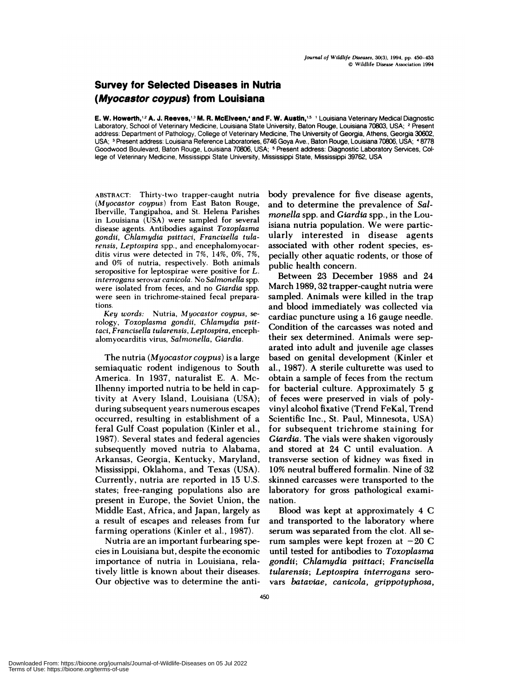## Survey **for Selected Diseases in Nutria (Myocastor coypus) from Louisiana**

**E. W. Howerth,'2 A. J. Reeves,3 M. R. McElveen,4 and F. W. Austin,15** 'Louisiana Veterinary Medical Diagnostic Laboratory, School of Veterinary Medicine, Louisiana State University, Baton Rouge, Louisiana 70803, USA; <sup>2</sup> Present address: Department of Pathology, College of Veterinary Medicine, The University of Georgia, Athens, Georgia 30602, USA; <sup>3</sup> Present address: Louisiana Reference Laboratories, 6746 Goya Ave., Baton Rouge, Louisiana 70806, USA; <sup>4</sup>8778 Goodwood Boulevard, Baton Rouge, Louisiana 70806, USA; <sup>5</sup> Present address: Diagnostic Laboratory Services, College of Veterinary Medicine, Mississippi State University, Mississippi State, Mississippi 39762, USA

**ABSTRACT:** Thirty-two trapper-caught nutria *(Myocastor coypus)* from East Baton Rouge, Iberville, Tangipahoa, and St. Helena Parishes in Louisiana (USA) were sampled for several disease agents. Antibodies against *Toxoplasma gondii, Chiamydia psittaci, Francisella tularensis, Leptospira* spp. **,** and encephalomyocarditis virus were detected in 7%, 14%, 0%, 7%, and 0% of nutria, respectively. Both animals seropositive for leptospirae were positive for *L. interrogans* serovar *canicola.* No *Salmonella* spp. **were** isolated from feces, and no *Giardia* spp. were seen in trichrome-stained fecal prepara tions.

*Key words:* Nutria, *Myocastor coypus,* serology, *Toxoplasma gondii, Chiamydia psittaci, Francisella tularensis, Leptospira,* encephalomyocarditis virus, *Salmonella, Giardia.*

The nutria *(Myocastor coypus)* is a large semiaquatic rodent indigenous to South America. In 1937, naturalist E. A. Mc-Ilhenny imported nutria to be held in captivity at Avery Island, Louisiana (USA); during subsequent years numerous escapes occurred, resulting in establishment of a feral Gulf Coast population (Kinler et al., 1987). Several states and federal agencies subsequently moved nutria to Alabama, Arkansas, Georgia, Kentucky, Maryland, Mississippi, Oklahoma, and Texas (USA). Currently, nutria are reported in 15 U.S. states; free-ranging populations also are present in Europe, the Soviet Union, the Middle East, Africa, and Japan, largely as a result of escapes and releases from fur farming operations (Kinler et al., 1987).

Nutria are an important furbearing species in Louisiana but, despite the economic importance of nutria in Louisiana, relatively little is known about their diseases. Our objective was to determine the antibody prevalence for five disease agents, and to determine the prevalence of *Salmonella* spp. and *Giardia* spp., in the Louisiana nutria population. We were panticularly interested in disease agents associated with other rodent species, es pecially other aquatic rodents, or those of public health concern.

Between 23 December 1988 and 24 March 1989, 32 trapper-caught nutria were sampled. Animals were killed in the trap and blood immediately was collected via cardiac puncture using a 16 gauge needle. Condition of the carcasses was noted and their sex determined. Animals were separated into adult and juvenile age classes based on genital development (Kinler et a!., 1987). A sterile culturette was used to obtain a sample of feces from the rectum for bacterial culture. Approximately 5 g of feces were preserved in vials of polyvinyl alcohol fixative (Trend FeKal, Trend Scientific Inc., St. Paul, Minnesota, USA) for subsequent trichrome staining for *Giardia.* The vials were shaken vigorously and stored at 24 C until evaluation. A transverse section of kidney was fixed in 10% neutral buffered fonmalin. Nine of 32 skinned carcasses were transported to the laboratory for gross pathological examination.

Blood was kept at approximately 4 C and transported to the laboratory where serum was separated from the clot. All serum samples were kept frozen at  $-20$  C until tested for antibodies to *Toxoplasma* gondii; Chlamydia psittaci; Francisella *tularensis; Leptospira interrogans* seno vans *batavlae, canicola, grippotyphosa,*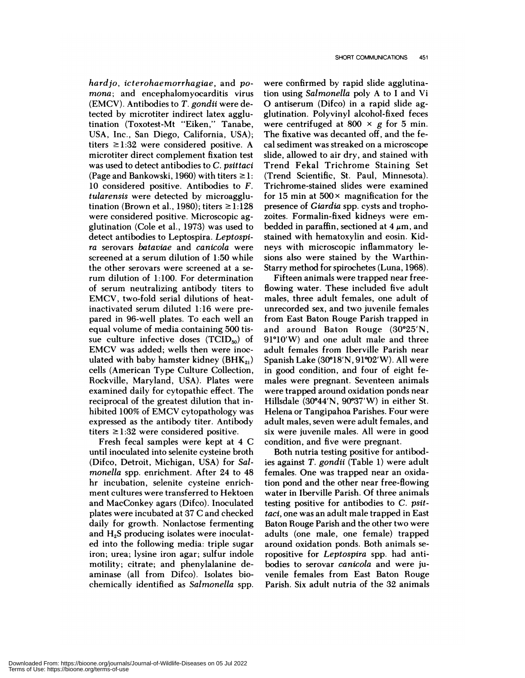*hardjo, icterohaemorrhagiae,* and *pomona;* and encephalomyocanditis virus (EMCV). Antibodies to *T. gondii* were detected by microtiter indirect latex agglutination (Toxotest-Mt "Eiken," Tanabe, USA, Inc., San Diego, California, USA); titers  $\geq 1:32$  were considered positive. A microtiten direct complement fixation test was used to detect antibodies to *C. psittaci* (Page and Bankowski, 1960) with titers  $\geq 1$ : 10 considered positive. Antibodies to *F. tularensis* were detected by microagglutination (Brown et al., 1980); titers  $\geq 1:128$ were considered positive. Microscopic agglutination (Cole et al., 1973) was used to detect antibodies to Leptospira. *Leptospi ra* serovans *bataviae* and *canicola* were screened at a serum dilution of 1 :50 while the other serovars were screened at a serum dilution of 1:100. For determination of serum neutralizing antibody titers to EMCV, two-fold serial dilutions of heatinactivated serum diluted 1:16 were prepared in 96-well plates. To each well an equal volume of media containing 500 tis sue culture infective doses  $(TCID<sub>50</sub>)$  of EMCV was added; wells then were inoculated with baby hamster kidney ( $BHK_{21}$ ) cells (American Type Culture Collection, Rockville, Maryland, USA). Plates were examined daily for cytopathic effect. The reciprocal of the greatest dilution that inhibited 100% of EMCV cytopathology was expressed as the antibody titer. Antibody titers  $\geq$ 1:32 were considered positive.

Fresh fecal samples were kept at 4 C until inoculated into selenite cysteine broth (Difco, Detroit, Michigan, USA) for *Salmonella* spp. enrichment. After 24 to 48 hr incubation, selenite cysteine enrichment cultures were transferred to Hektoen and MacConkey agars (Difco). Inoculated plates were incubated at 37 C and checked daily for growth. Nonlactose fermenting and  $H_2S$  producing isolates were inoculated into the following media: triple sugar iron; urea; lysine iron agar; sulfur indole motility; citrate; and phenylalanine deaminase (all from Difco). Isolates biochemically identified as *Salmonella* spp. were confirmed by rapid slide agglutination using *Salmonella* poly A to I and Vi 0 antiserum (Difco) in a rapid slide agglutination. Polyvinyl alcohol-fixed feces were centrifuged at 800  $\times$  g for 5 min. The fixative was decanted off, and the fecal sediment was streaked on a microscope slide, allowed to air dry, and stained with Trend Fekal Trichrome Staining Set (Trend Scientific, St. Paul, Minnesota). Trichrome-stained slides were examined for 15 min at  $500 \times$  magnification for the presence of *Giardia* spp. cysts and trophozoites. Fonmalin-fixed kidneys were em bedded in paraffin, sectioned at  $4 \mu m$ , and stained with hematoxylin and eosin. Kidneys with microscopic inflammatory lesions also were stained by the Warthin-Starry method for spirochetes (Luna, 1968).

Fifteen animals were trapped near freeflowing water. These included five adult males, three adult females, one adult of unrecorded sex, and two juvenile females from East Baton Rouge Parish trapped in and around Baton Rouge  $(30°25'N,$  $91^{\circ}10'W$ ) and one adult male and three adult females from Iberville Parish near Spanish Lake (30°18'N, 91°02'W). All were in good condition, and four of eight females were pregnant. Seventeen animals were trapped around oxidation ponds near Hillsdale  $(30^{\circ}44'N, 90^{\circ}37'W)$  in either St. Helena on Tangipahoa Parishes. Four were adult males, seven were adult females, and six were juvenile males. Al! were in good condition, and five were pregnant.

Both nutria testing positive for antibodies against T. *gondii* (Table 1) were adult females. One was trapped near an oxidation pond and the other near free-flowing water in Iberville Parish. Of three animals testing positive for antibodies to *C. psit*taci, one was an adult male trapped in East Baton Rouge Parish and the other two were adults (one male, one female) trapped around oxidation ponds. Both animals seropositive for *Leptospira* spp. had antibodies to senovan *canicola* and were juvenile females from East Baton Rouge Parish. Six adult nutria of the 32 animals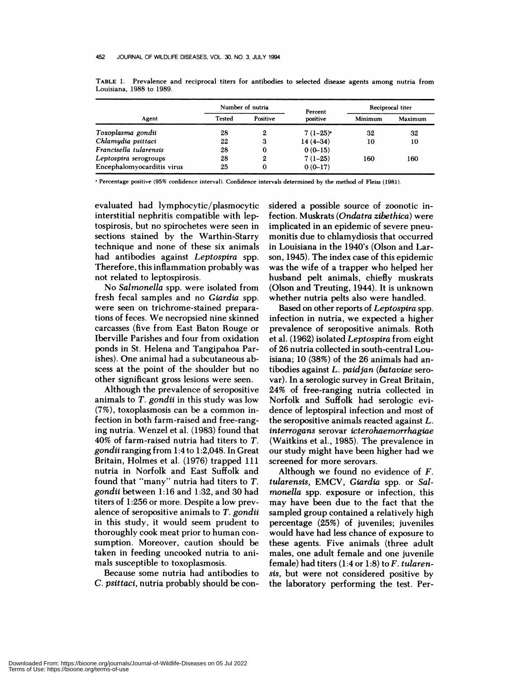| Agent                      | Number of nutria |          | Percent    | Reciprocal titer |         |
|----------------------------|------------------|----------|------------|------------------|---------|
|                            | Tested           | Positive | positive   | Minimum          | Maximum |
| Toxoplasma gondii          | 28               | 2        | $7(1-25)$  | 32               | 32      |
| Chlamydia psittaci         | 22               | 3        | $14(4-34)$ | 10               | 10      |
| Francisella tularensis     | 28               | $\bf{0}$ | $0(0-15)$  |                  |         |
| Leptospira serogroups      | 28               | 2        | $7(1-25)$  | 160              | 160     |
| Encephalomyocarditis virus | 25               | $\bf{0}$ | $0(0-17)$  |                  |         |

**TABLE** 1. Prevalence and reciprocal titers for antibodies to selected disease agents among nutria from Louisiana, 1988 to 1989.

Percentage positive (95% confidence interval). Confidence intervals determined by the method of Fleiss (1981).

evaluated had lymphocytic/plasmocytic interstitial nephritis compatible with leptospinosis, but no spirochetes were seen in sections stained by the Warthin-Starry technique and none of these six animals had antibodies against *Leptospira* spp. Therefore, this inflammation probably was not related to leptospirosis.

No *Salmonella* spp. were isolated from fresh fecal samples and no *Giardia* spp. were seen on trichrome-stained preparations of feces. We necropsied nine skinned carcasses (five from East Baton Rouge on Iberville Parishes and four from oxidation ponds in St. Helena and Tangipahoa Parishes). One animal had a subcutaneous ab scess at the point of the shoulder but no other significant gross lesions were seen.

Although the prevalence of seropositive animals to *T. gondii* in this study was low **(**7%), toxoplasmosis can be a common infection in both farm-raised and free-ranging nutria. Wenzel et a!. (1983) found that 40% of farm-raised nutria had titers to *T. gondii* ranging from 1:4 to 1:2,048. In Great Britain, Holmes et al. (1976) trapped 111 nutria in Norfolk and East Suffolk and found that "many" nutria had titers to *T. gondii* between 1:16 and 1:32, and 30 had titers of 1:256 on more. Despite a low preyalence of senopositive animals to *T. gondii* in this study, **it** would seem prudent to thoroughly cook meat prior to human con sumption. Moreover, caution should be taken in feeding uncooked nutria to animals susceptible to toxoplasmosis.

Because some nutria had antibodies to C. *psittaci,* nutria probably should be considened a possible source of zoonotic infection. Muskrats *(On&ztra zibethica)* were implicated in an epidemic of severe pneumonitis due to chlamydiosis that occurred in Louisiana in the 1940's (Olson and Larson, 1945). The index case of this epidemic was the wife of a trapper who helped her husband pelt animals, chiefly muskrats (Olson and Treuting, 1944). It is unknown whether nutria pelts also were handled.

Based on other reports of *Leptospira* spp. infection in nutria, we expected a higher prevalence of seropositive animals. Roth et a!. (1962) isolated *Leptospira* from eight of 26 nutria collected in south-central Louisiana; 10 (38%) of the 26 animals had antibodies against *L. paidjan (bataviae* sero var). In a serologic survey in Great Britain, 24% of free-ranging nutria collected in Norfolk and Suffolk had serologic evidence of leptospiral infection and most of the seropositive animals reacted against *L. interrogans* serovan *icterohaemorrhagiae* (Waitkins et al., 1985). The prevalence in our study might have been higher had we screened for more senovars.

Although we found no evidence of *F. tularensis,* EMCV, *Giardia* spp. or *Salmonella* spp. exposure or infection, this may have been due to the fact that the sampled group contained a relatively high percentage (25%) of juveniles; juveniles would have had less chance of exposure to these agents. Five animals (three adult males, one adult female and one juvenile female) had titers (1:4 or 1:8) to *F. tularensis,* but were not considered positive by the laboratory performing the test. Per